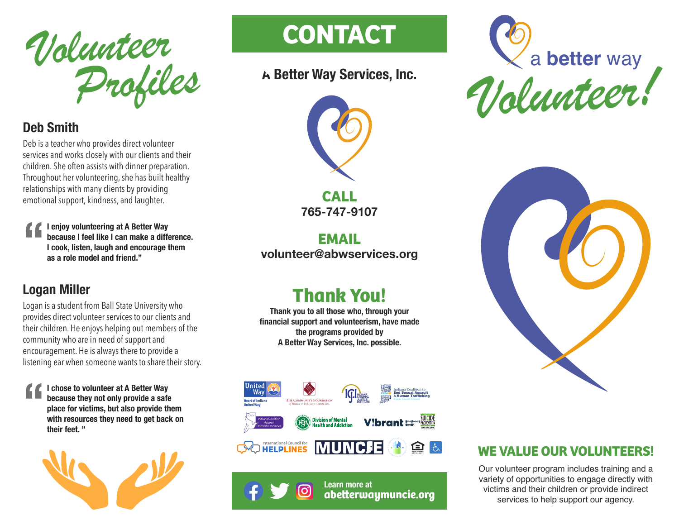

### **Deb Smith**

Deb is a teacher who provides direct volunteer services and works closely with our clients and their children. She often assists with dinner preparation. Throughout her volunteering, she has built healthy relationships with many clients by providing emotional support, kindness, and laughter.

**" I enjoy volunteering at A Better Way because I feel like I can make a difference. I cook, listen, laugh and encourage them as a role model and friend."**

#### **Logan Miller**

Logan is a student from Ball State University who provides direct volunteer services to our clients and their children. He enjoys helping out members of the community who are in need of support and encouragement. He is always there to provide a listening ear when someone wants to share their story.

**" I chose to volunteer at A Better Way because they not only provide a safe place for victims, but also provide them with resources they need to get back on their feet. "**



# **CONTACT CONTACT**

### **A Better Way Services, Inc.**



**CALL 765-747-9107**

**EMAIL volunteer@abwservices.org**

## **Thank You!**

**Thank you to all those who, through your financial support and volunteerism, have made the programs provided by A Better Way Services, Inc. possible.**



**Learn more at** <u> (၁</u> **abeerwaymuncie.org**





#### **WE VALUE OUR VOLUNTEERS!**

Our volunteer program includes training and a variety of opportunities to engage directly with victims and their children or provide indirect services to help support our agency.